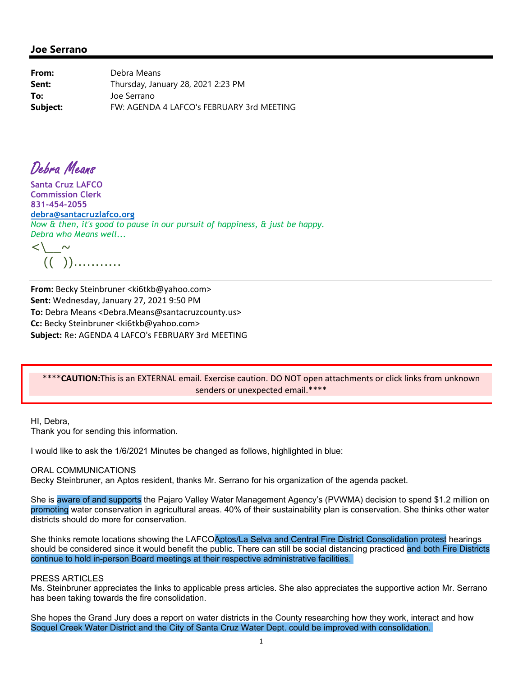## **Joe Serrano**

**From:** Debra Means **Sent:** Thursday, January 28, 2021 2:23 PM **To:** Joe Serrano **Subject:** FW: AGENDA 4 LAFCO's FEBRUARY 3rd MEETING

Debra Means

**Santa Cruz LAFCO Commission Clerk 831-454-2055 debra@santacruzlafco.org** *Now & then, it's good to pause in our pursuit of happiness, & just be happy. Debra who Means well...* 

 $\langle\, \rangle$   $\sim$ (( ))...........

**From:** Becky Steinbruner <ki6tkb@yahoo.com> **Sent:** Wednesday, January 27, 2021 9:50 PM **To:** Debra Means <Debra.Means@santacruzcounty.us> **Cc:** Becky Steinbruner <ki6tkb@yahoo.com> **Subject:** Re: AGENDA 4 LAFCO's FEBRUARY 3rd MEETING

### \*\*\*\***CAUTION:**This is an EXTERNAL email. Exercise caution. DO NOT open attachments or click links from unknown senders or unexpected email.\*\*\*\*

HI, Debra, Thank you for sending this information.

I would like to ask the 1/6/2021 Minutes be changed as follows, highlighted in blue:

#### ORAL COMMUNICATIONS

Becky Steinbruner, an Aptos resident, thanks Mr. Serrano for his organization of the agenda packet.

She is aware of and supports the Pajaro Valley Water Management Agency's (PVWMA) decision to spend \$1.2 million on promoting water conservation in agricultural areas. 40% of their sustainability plan is conservation. She thinks other water districts should do more for conservation.

She thinks remote locations showing the LAFCOAptos/La Selva and Central Fire District Consolidation protest hearings should be considered since it would benefit the public. There can still be social distancing practiced and both Fire Districts continue to hold in-person Board meetings at their respective administrative facilities.

#### PRESS ARTICLES

Ms. Steinbruner appreciates the links to applicable press articles. She also appreciates the supportive action Mr. Serrano has been taking towards the fire consolidation.

She hopes the Grand Jury does a report on water districts in the County researching how they work, interact and how Soquel Creek Water District and the City of Santa Cruz Water Dept. could be improved with consolidation.